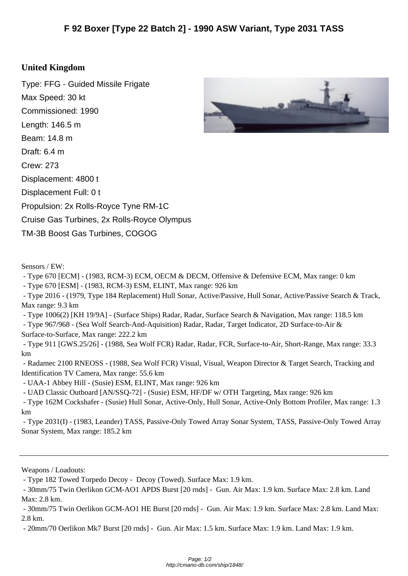## **United Kin[gdom](http://cmano-db.com/ship/1848/)**

Type: FFG - Guided Missile Frigate Max Speed: 30 kt Commissioned: 1990 Length: 146.5 m Beam: 14.8 m Draft: 6.4 m Crew: 273 Displacement: 4800 t Displacement Full: 0 t Propulsion: 2x Rolls-Royce Tyne RM-1C Cruise Gas Turbines, 2x Rolls-Royce Olympus TM-3B Boost Gas Turbines, COGOG



- Type 670 [ECM] - (1983, RCM-3) ECM, OECM & DECM, Offensive & Defensive ECM, Max range: 0 km

- Type 670 [ESM] - (1983, RCM-3) ESM, ELINT, Max range: 926 km

 - Type 2016 - (1979, Type 184 Replacement) Hull Sonar, Active/Passive, Hull Sonar, Active/Passive Search & Track, Max range: 9.3 km

- Type 1006(2) [KH 19/9A] - (Surface Ships) Radar, Radar, Surface Search & Navigation, Max range: 118.5 km

 - Type 967/968 - (Sea Wolf Search-And-Aquisition) Radar, Radar, Target Indicator, 2D Surface-to-Air & Surface-to-Surface, Max range: 222.2 km

 - Type 911 [GWS.25/26] - (1988, Sea Wolf FCR) Radar, Radar, FCR, Surface-to-Air, Short-Range, Max range: 33.3 km

 - Radamec 2100 RNEOSS - (1988, Sea Wolf FCR) Visual, Visual, Weapon Director & Target Search, Tracking and Identification TV Camera, Max range: 55.6 km

- UAA-1 Abbey Hill - (Susie) ESM, ELINT, Max range: 926 km

- UAD Classic Outboard [AN/SSQ-72] - (Susie) ESM, HF/DF w/ OTH Targeting, Max range: 926 km

 - Type 162M Cockshafer - (Susie) Hull Sonar, Active-Only, Hull Sonar, Active-Only Bottom Profiler, Max range: 1.3 km

 - Type 2031(I) - (1983, Leander) TASS, Passive-Only Towed Array Sonar System, TASS, Passive-Only Towed Array Sonar System, Max range: 185.2 km

Weapons / Loadouts:

- Type 182 Towed Torpedo Decoy - Decoy (Towed). Surface Max: 1.9 km.

 - 30mm/75 Twin Oerlikon GCM-AO1 HE Burst [20 rnds] - Gun. Air Max: 1.9 km. Surface Max: 2.8 km. Land Max: 2.8 km.

- 20mm/70 Oerlikon Mk7 Burst [20 rnds] - Gun. Air Max: 1.5 km. Surface Max: 1.9 km. Land Max: 1.9 km.



 <sup>- 30</sup>mm/75 Twin Oerlikon GCM-AO1 APDS Burst [20 rnds] - Gun. Air Max: 1.9 km. Surface Max: 2.8 km. Land Max: 2.8 km.